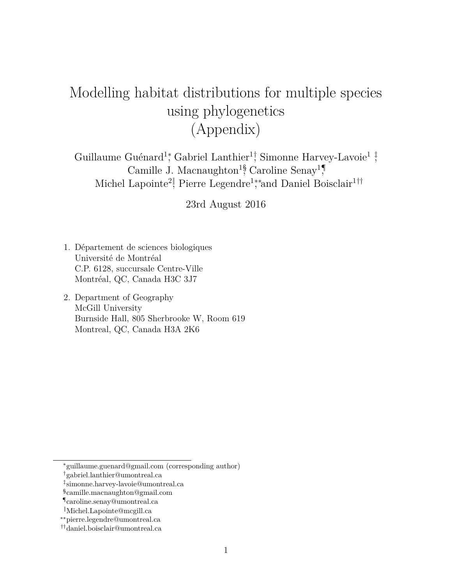# Modelling habitat distributions for multiple species using phylogenetics (Appendix)

Guillaume Guénard<sup>1</sup>; Gabriel Lanthier<sup>1</sup><sup>†</sup>, Simonne Harvey-Lavoie<sup>1</sup><sup>†</sup>, Camille J. Macnaughton<sup>1§</sup>, Caroline Senay<sup>1</sup>, Michel Lapointe<sup>2</sup>, Pierre Legendre<sup>1</sup>;\*and Daniel Boisclair<sup>1††</sup>

23rd August 2016

- 1. Département de sciences biologiques Université de Montréal C.P. 6128, succursale Centre-Ville Montréal, QC, Canada H3C 3J7
- 2. Department of Geography McGill University Burnside Hall, 805 Sherbrooke W, Room 619 Montreal, QC, Canada H3A 2K6

<sup>∗</sup>guillaume.guenard@gmail.com (corresponding author)

<sup>†</sup>gabriel.lanthier@umontreal.ca

<sup>‡</sup> simonne.harvey-lavoie@umontreal.ca

<sup>§</sup> camille.macnaughton@gmail.com

<sup>¶</sup>caroline.senay@umontreal.ca

<sup>‖</sup>Michel.Lapointe@mcgill.ca

<sup>∗∗</sup>pierre.legendre@umontreal.ca

<sup>††</sup>daniel.boisclair@umontreal.ca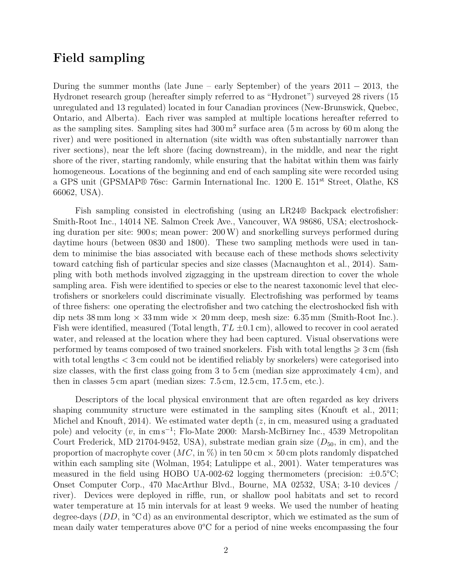#### **Field sampling**

During the summer months (late June – early September) of the years  $2011 - 2013$ , the Hydronet research group (hereafter simply referred to as "Hydronet") surveyed 28 rivers (15 unregulated and 13 regulated) located in four Canadian provinces (New-Brunswick, Quebec, Ontario, and Alberta). Each river was sampled at multiple locations hereafter referred to as the sampling sites. Sampling sites had  $300 \,\mathrm{m}^2$  surface area  $(5 \,\mathrm{m})$  across by 60 m along the river) and were positioned in alternation (site width was often substantially narrower than river sections), near the left shore (facing downstream), in the middle, and near the right shore of the river, starting randomly, while ensuring that the habitat within them was fairly homogeneous. Locations of the beginning and end of each sampling site were recorded using a GPS unit (GPSMAP® 76sc: Garmin International Inc. 1200 E. 151st Street, Olathe, KS 66062, USA).

Fish sampling consisted in electrofishing (using an LR24® Backpack electrofisher: Smith-Root Inc., 14014 NE. Salmon Creek Ave., Vancouver, WA 98686, USA; electroshocking duration per site: 900 s; mean power: 200W) and snorkelling surveys performed during daytime hours (between 0830 and 1800). These two sampling methods were used in tandem to minimise the bias associated with because each of these methods shows selectivity toward catching fish of particular species and size classes (Macnaughton et al., 2014). Sampling with both methods involved zigzagging in the upstream direction to cover the whole sampling area. Fish were identified to species or else to the nearest taxonomic level that electrofishers or snorkelers could discriminate visually. Electrofishing was performed by teams of three fishers: one operating the electrofisher and two catching the electroshocked fish with dip nets  $38 \text{ mm}$  long  $\times$   $33 \text{ mm}$  wide  $\times$   $20 \text{ mm}$  deep, mesh size:  $6.35 \text{ mm}$  (Smith-Root Inc.). Fish were identified, measured (Total length,  $TL \pm 0.1$  cm), allowed to recover in cool aerated water, and released at the location where they had been captured. Visual observations were performed by teams composed of two trained snorkelers. Fish with total lengths  $\geq 3$  cm (fish with total lengths *<* 3 cm could not be identified reliably by snorkelers) were categorised into size classes, with the first class going from 3 to  $5 \text{ cm}$  (median size approximately  $4 \text{ cm}$ ), and then in classes 5 cm apart (median sizes: 7*.*5 cm, 12*.*5 cm, 17*.*5 cm, etc.).

Descriptors of the local physical environment that are often regarded as key drivers shaping community structure were estimated in the sampling sites (Knouft et al., 2011; Michel and Knouft, 2014). We estimated water depth (*z*, in cm, measured using a graduated pole) and velocity (*v*, in cm s<sup>-1</sup>; Flo-Mate 2000: Marsh-McBirney Inc., 4539 Metropolitan Court Frederick, MD 21704-9452, USA), substrate median grain size  $(D_{50}$ , in cm), and the proportion of macrophyte cover  $(MC, \text{in } \%)$  in ten 50 cm  $\times$  50 cm plots randomly dispatched within each sampling site (Wolman, 1954; Latulippe et al., 2001). Water temperatures was measured in the field using HOBO UA-002-62 logging thermometers (precision: ±0*.*5°C; Onset Computer Corp., 470 MacArthur Blvd., Bourne, MA 02532, USA; 3-10 devices / river). Devices were deployed in riffle, run, or shallow pool habitats and set to record water temperature at 15 min intervals for at least 9 weeks. We used the number of heating degree-days (*DD*, in °C d) as an environmental descriptor, which we estimated as the sum of mean daily water temperatures above 0°C for a period of nine weeks encompassing the four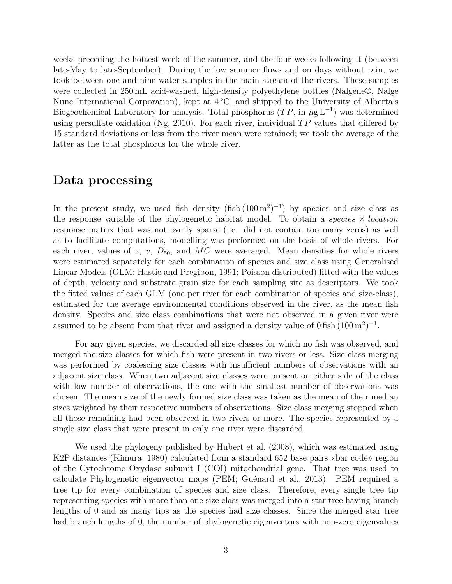weeks preceding the hottest week of the summer, and the four weeks following it (between late-May to late-September). During the low summer flows and on days without rain, we took between one and nine water samples in the main stream of the rivers. These samples were collected in 250 mL acid-washed, high-density polyethylene bottles (Nalgene®, Nalge Nunc International Corporation), kept at 4 °C, and shipped to the University of Alberta's Biogeochemical Laboratory for analysis. Total phosphorus  $(T P, \text{ in } \mu g L^{-1})$  was determined using persulfate oxidation (Ng, 2010). For each river, individual *T P* values that differed by 15 standard deviations or less from the river mean were retained; we took the average of the latter as the total phosphorus for the whole river.

#### **Data processing**

In the present study, we used fish density  $(\text{fish } (100 \,\text{m}^2)^{-1})$  by species and size class as the response variable of the phylogenetic habitat model. To obtain a *species* × *location* response matrix that was not overly sparse (i.e. did not contain too many zeros) as well as to facilitate computations, modelling was performed on the basis of whole rivers. For each river, values of  $z$ ,  $v$ ,  $D_{50}$ , and  $MC$  were averaged. Mean densities for whole rivers were estimated separately for each combination of species and size class using Generalised Linear Models (GLM: Hastie and Pregibon, 1991; Poisson distributed) fitted with the values of depth, velocity and substrate grain size for each sampling site as descriptors. We took the fitted values of each GLM (one per river for each combination of species and size-class), estimated for the average environmental conditions observed in the river, as the mean fish density. Species and size class combinations that were not observed in a given river were assumed to be absent from that river and assigned a density value of  $0$  fish  $(100 \text{ m}^2)^{-1}$ .

For any given species, we discarded all size classes for which no fish was observed, and merged the size classes for which fish were present in two rivers or less. Size class merging was performed by coalescing size classes with insufficient numbers of observations with an adjacent size class. When two adjacent size classes were present on either side of the class with low number of observations, the one with the smallest number of observations was chosen. The mean size of the newly formed size class was taken as the mean of their median sizes weighted by their respective numbers of observations. Size class merging stopped when all those remaining had been observed in two rivers or more. The species represented by a single size class that were present in only one river were discarded.

We used the phylogeny published by Hubert et al. (2008), which was estimated using K2P distances (Kimura, 1980) calculated from a standard 652 base pairs «bar code» region of the Cytochrome Oxydase subunit I (COI) mitochondrial gene. That tree was used to calculate Phylogenetic eigenvector maps (PEM; Guénard et al., 2013). PEM required a tree tip for every combination of species and size class. Therefore, every single tree tip representing species with more than one size class was merged into a star tree having branch lengths of 0 and as many tips as the species had size classes. Since the merged star tree had branch lengths of 0, the number of phylogenetic eigenvectors with non-zero eigenvalues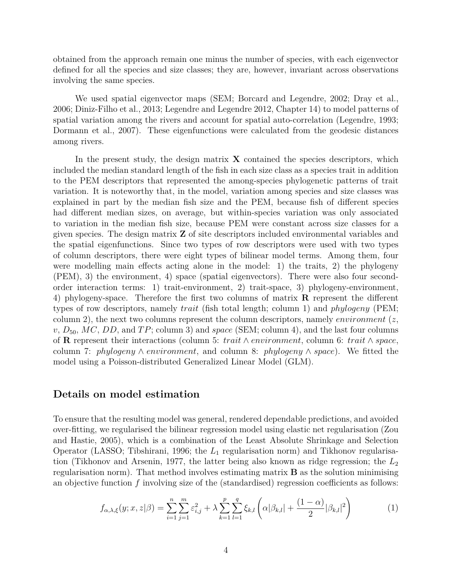obtained from the approach remain one minus the number of species, with each eigenvector defined for all the species and size classes; they are, however, invariant across observations involving the same species.

We used spatial eigenvector maps (SEM; Borcard and Legendre, 2002; Dray et al., 2006; Diniz-Filho et al., 2013; Legendre and Legendre 2012, Chapter 14) to model patterns of spatial variation among the rivers and account for spatial auto-correlation (Legendre, 1993; Dormann et al., 2007). These eigenfunctions were calculated from the geodesic distances among rivers.

In the present study, the design matrix **X** contained the species descriptors, which included the median standard length of the fish in each size class as a species trait in addition to the PEM descriptors that represented the among-species phylogenetic patterns of trait variation. It is noteworthy that, in the model, variation among species and size classes was explained in part by the median fish size and the PEM, because fish of different species had different median sizes, on average, but within-species variation was only associated to variation in the median fish size, because PEM were constant across size classes for a given species. The design matrix **Z** of site descriptors included environmental variables and the spatial eigenfunctions. Since two types of row descriptors were used with two types of column descriptors, there were eight types of bilinear model terms. Among them, four were modelling main effects acting alone in the model: 1) the traits, 2) the phylogeny (PEM), 3) the environment, 4) space (spatial eigenvectors). There were also four secondorder interaction terms: 1) trait-environment, 2) trait-space, 3) phylogeny-environment, 4) phylogeny-space. Therefore the first two columns of matrix **R** represent the different types of row descriptors, namely *trait* (fish total length; column 1) and *phylogeny* (PEM; column 2), the next two columns represent the column descriptors, namely *environment* (*z*,  $v, D_{50}, MC, DD, and TP$ ; column 3) and *space* (SEM; column 4), and the last four columns of **R** represent their interactions (column 5: *trait* ∧ *environment*, column 6: *trait* ∧ *space*, column 7: *phylogeny* ∧ *environment*, and column 8: *phylogeny* ∧ *space*). We fitted the model using a Poisson-distributed Generalized Linear Model (GLM).

#### **Details on model estimation**

To ensure that the resulting model was general, rendered dependable predictions, and avoided over-fitting, we regularised the bilinear regression model using elastic net regularisation (Zou and Hastie, 2005), which is a combination of the Least Absolute Shrinkage and Selection Operator (LASSO; Tibshirani, 1996; the *L*<sup>1</sup> regularisation norm) and Tikhonov regularisation (Tikhonov and Arsenin, 1977, the latter being also known as ridge regression; the *L*<sup>2</sup> regularisation norm). That method involves estimating matrix **B** as the solution minimising an objective function *f* involving size of the (standardised) regression coefficients as follows:

$$
f_{\alpha,\lambda,\xi}(y;x,z|\beta) = \sum_{i=1}^{n} \sum_{j=1}^{m} \varepsilon_{i,j}^{2} + \lambda \sum_{k=1}^{p} \sum_{l=1}^{q} \xi_{k,l} \left( \alpha |\beta_{k,l}| + \frac{(1-\alpha)}{2} |\beta_{k,l}|^{2} \right)
$$
(1)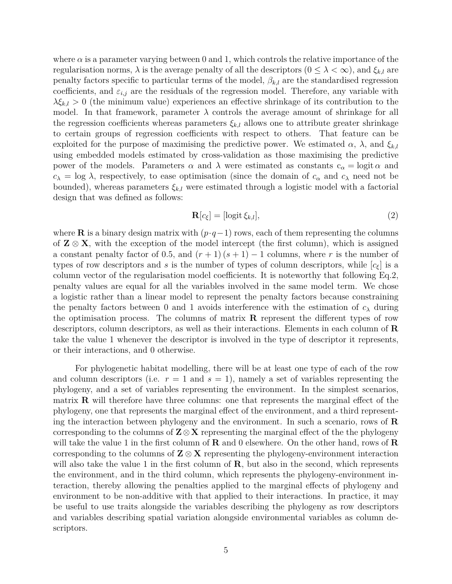where  $\alpha$  is a parameter varying between 0 and 1, which controls the relative importance of the regularisation norms,  $\lambda$  is the average penalty of all the descriptors  $(0 \leq \lambda < \infty)$ , and  $\xi_{k,l}$  are penalty factors specific to particular terms of the model,  $\beta_{k,l}$  are the standardised regression coefficients, and  $\varepsilon_{i,j}$  are the residuals of the regression model. Therefore, any variable with *λξk,l >* 0 (the minimum value) experiences an effective shrinkage of its contribution to the model. In that framework, parameter  $\lambda$  controls the average amount of shrinkage for all the regression coefficients whereas parameters  $\xi_{k,l}$  allows one to attribute greater shrinkage to certain groups of regression coefficients with respect to others. That feature can be exploited for the purpose of maximising the predictive power. We estimated  $\alpha$ ,  $\lambda$ , and  $\xi_{k,l}$ using embedded models estimated by cross-validation as those maximising the predictive power of the models. Parameters  $\alpha$  and  $\lambda$  were estimated as constants  $c_{\alpha} = \text{logit } \alpha$  and  $c_{\lambda} = \log \lambda$ , respectively, to ease optimisation (since the domain of  $c_{\alpha}$  and  $c_{\lambda}$  need not be bounded), whereas parameters  $\xi_{k,l}$  were estimated through a logistic model with a factorial design that was defined as follows:

$$
\mathbf{R}[c_{\xi}] = [\text{logit }\xi_{k,l}],\tag{2}
$$

where **R** is a binary design matrix with  $(p \cdot q-1)$  rows, each of them representing the columns of  $\mathbf{Z} \otimes \mathbf{X}$ , with the exception of the model intercept (the first column), which is assigned a constant penalty factor of 0.5, and  $(r + 1)(s + 1) - 1$  columns, where r is the number of types of row descriptors and *s* is the number of types of column descriptors, while  $[c_f]$  is a column vector of the regularisation model coefficients. It is noteworthy that following Eq.2, penalty values are equal for all the variables involved in the same model term. We chose a logistic rather than a linear model to represent the penalty factors because constraining the penalty factors between 0 and 1 avoids interference with the estimation of  $c_{\lambda}$  during the optimisation process. The columns of matrix **R** represent the different types of row descriptors, column descriptors, as well as their interactions. Elements in each column of **R** take the value 1 whenever the descriptor is involved in the type of descriptor it represents, or their interactions, and 0 otherwise.

For phylogenetic habitat modelling, there will be at least one type of each of the row and column descriptors (i.e.  $r = 1$  and  $s = 1$ ), namely a set of variables representing the phylogeny, and a set of variables representing the environment. In the simplest scenarios, matrix **R** will therefore have three columns: one that represents the marginal effect of the phylogeny, one that represents the marginal effect of the environment, and a third representing the interaction between phylogeny and the environment. In such a scenario, rows of **R** corresponding to the columns of **Z**⊗**X** representing the marginal effect of the the phylogeny will take the value 1 in the first column of **R** and 0 elsewhere. On the other hand, rows of **R** corresponding to the columns of  $\mathbf{Z} \otimes \mathbf{X}$  representing the phylogeny-environment interaction will also take the value 1 in the first column of **R**, but also in the second, which represents the environment, and in the third column, which represents the phylogeny-environment interaction, thereby allowing the penalties applied to the marginal effects of phylogeny and environment to be non-additive with that applied to their interactions. In practice, it may be useful to use traits alongside the variables describing the phylogeny as row descriptors and variables describing spatial variation alongside environmental variables as column descriptors.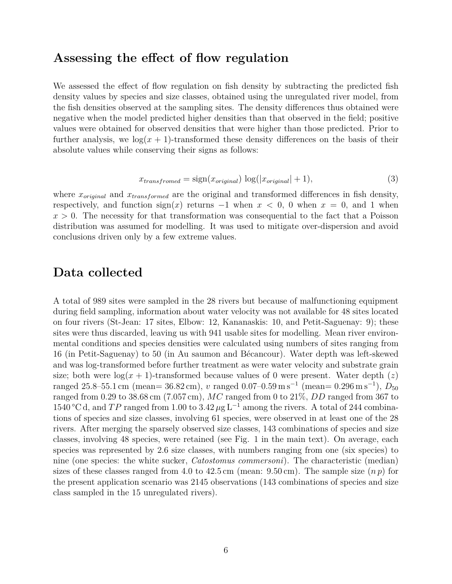#### **Assessing the effect of flow regulation**

We assessed the effect of flow regulation on fish density by subtracting the predicted fish density values by species and size classes, obtained using the unregulated river model, from the fish densities observed at the sampling sites. The density differences thus obtained were negative when the model predicted higher densities than that observed in the field; positive values were obtained for observed densities that were higher than those predicted. Prior to further analysis, we  $log(x + 1)$ -transformed these density differences on the basis of their absolute values while conserving their signs as follows:

$$
x_{transformed} = \text{sign}(x_{original}) \, \log(|x_{original}| + 1),\tag{3}
$$

where  $x_{original}$  and  $x_{transformed}$  are the original and transformed differences in fish density, respectively, and function  $sign(x)$  returns  $-1$  when  $x < 0$ , 0 when  $x = 0$ , and 1 when  $x > 0$ . The necessity for that transformation was consequential to the fact that a Poisson distribution was assumed for modelling. It was used to mitigate over-dispersion and avoid conclusions driven only by a few extreme values.

#### **Data collected**

A total of 989 sites were sampled in the 28 rivers but because of malfunctioning equipment during field sampling, information about water velocity was not available for 48 sites located on four rivers (St-Jean: 17 sites, Elbow: 12, Kananaskis: 10, and Petit-Saguenay: 9); these sites were thus discarded, leaving us with 941 usable sites for modelling. Mean river environmental conditions and species densities were calculated using numbers of sites ranging from 16 (in Petit-Saguenay) to 50 (in Au saumon and Bécancour). Water depth was left-skewed and was log-transformed before further treatment as were water velocity and substrate grain size; both were  $\log(x+1)$ -transformed because values of 0 were present. Water depth (*z*) ranged 25*.*8–55*.*1 cm (mean= 36*.*82 cm), *v* ranged 0*.*07–0*.*59 m s<sup>−</sup><sup>1</sup> (mean= 0*.*296 m s<sup>−</sup><sup>1</sup> ), *D*<sup>50</sup> ranged from 0*.*29 to 38*.*68 cm (7*.*057 cm), *MC* ranged from 0 to 21%, *DD* ranged from 367 to 1540 °C d, and *TP* ranged from 1.00 to 3.42  $\mu$ g L<sup>-1</sup> among the rivers. A total of 244 combinations of species and size classes, involving 61 species, were observed in at least one of the 28 rivers. After merging the sparsely observed size classes, 143 combinations of species and size classes, involving 48 species, were retained (see Fig. 1 in the main text). On average, each species was represented by 2*.*6 size classes, with numbers ranging from one (six species) to nine (one species: the white sucker, *Catostomus commersoni*). The characteristic (median) sizes of these classes ranged from 4.0 to  $42.5 \text{ cm}$  (mean:  $9.50 \text{ cm}$ ). The sample size  $(n p)$  for the present application scenario was 2145 observations (143 combinations of species and size class sampled in the 15 unregulated rivers).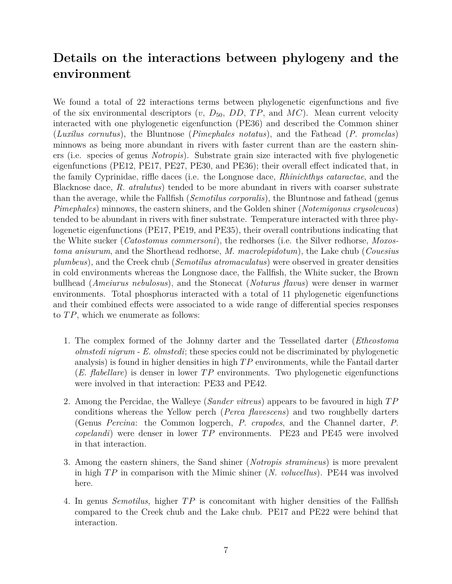## **Details on the interactions between phylogeny and the environment**

We found a total of 22 interactions terms between phylogenetic eigenfunctions and five of the six environmental descriptors  $(v, D_{50}, DD, TP, and MC)$ . Mean current velocity interacted with one phylogenetic eigenfunction (PE36) and described the Common shiner (*Luxilus cornutus*), the Bluntnose (*Pimephales notatus*), and the Fathead (*P. promelas*) minnows as being more abundant in rivers with faster current than are the eastern shiners (i.e. species of genus *Notropis*). Substrate grain size interacted with five phylogenetic eigenfunctions (PE12, PE17, PE27, PE30, and PE36); their overall effect indicated that, in the family Cyprinidae, riffle daces (i.e. the Longnose dace, *Rhinichthys cataractae*, and the Blacknose dace, *R. atralutus*) tended to be more abundant in rivers with coarser substrate than the average, while the Fallfish (*Semotilus corporalis*), the Bluntnose and fathead (genus *Pimephales*) minnows, the eastern shiners, and the Golden shiner (*Notemigonus crysoleucas*) tended to be abundant in rivers with finer substrate. Temperature interacted with three phylogenetic eigenfunctions (PE17, PE19, and PE35), their overall contributions indicating that the White sucker (*Catostomus commersoni*), the redhorses (i.e. the Silver redhorse, *Moxostoma anisurum*, and the Shorthead redhorse, *M. macrolepidotum*), the Lake chub (*Couesius plumbeus*), and the Creek chub (*Semotilus atromaculatus*) were observed in greater densities in cold environments whereas the Longnose dace, the Fallfish, the White sucker, the Brown bullhead (*Ameiurus nebulosus*), and the Stonecat (*Noturus flavus*) were denser in warmer environments. Total phosphorus interacted with a total of 11 phylogenetic eigenfunctions and their combined effects were associated to a wide range of differential species responses to *T P*, which we enumerate as follows:

- 1. The complex formed of the Johnny darter and the Tessellated darter (*Etheostoma olmstedi nigrum* - *E. olmstedi*; these species could not be discriminated by phylogenetic analysis) is found in higher densities in high *T P* environments, while the Fantail darter (*E. flabellare*) is denser in lower *T P* environments. Two phylogenetic eigenfunctions were involved in that interaction: PE33 and PE42.
- 2. Among the Percidae, the Walleye (*Sander vitreus*) appears to be favoured in high *T P* conditions whereas the Yellow perch (*Perca flavescens*) and two roughbelly darters (Genus *Percina*: the Common logperch, *P. crapodes*, and the Channel darter, *P. copelandi*) were denser in lower *T P* environments. PE23 and PE45 were involved in that interaction.
- 3. Among the eastern shiners, the Sand shiner (*Notropis stramineus*) is more prevalent in high *T P* in comparison with the Mimic shiner (*N. volucellus*). PE44 was involved here.
- 4. In genus *Semotilus*, higher *T P* is concomitant with higher densities of the Fallfish compared to the Creek chub and the Lake chub. PE17 and PE22 were behind that interaction.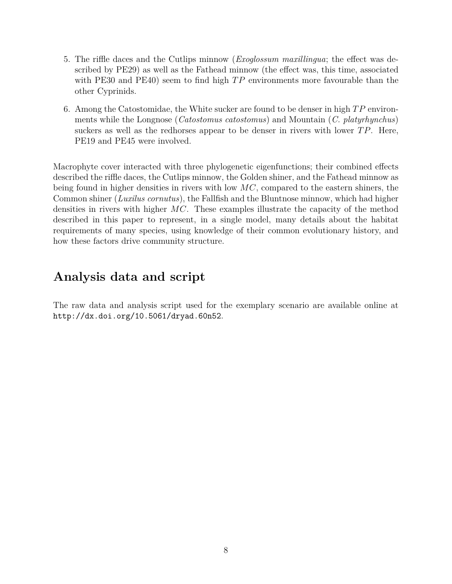- 5. The riffle daces and the Cutlips minnow (*Exoglossum maxillingua*; the effect was described by PE29) as well as the Fathead minnow (the effect was, this time, associated with PE30 and PE40) seem to find high  $TP$  environments more favourable than the other Cyprinids.
- 6. Among the Catostomidae, the White sucker are found to be denser in high *T P* environments while the Longnose (*Catostomus catostomus*) and Mountain (*C. platyrhynchus*) suckers as well as the redhorses appear to be denser in rivers with lower *T P*. Here, PE19 and PE45 were involved.

Macrophyte cover interacted with three phylogenetic eigenfunctions; their combined effects described the riffle daces, the Cutlips minnow, the Golden shiner, and the Fathead minnow as being found in higher densities in rivers with low *MC*, compared to the eastern shiners, the Common shiner (*Luxilus cornutus*), the Fallfish and the Bluntnose minnow, which had higher densities in rivers with higher *MC*. These examples illustrate the capacity of the method described in this paper to represent, in a single model, many details about the habitat requirements of many species, using knowledge of their common evolutionary history, and how these factors drive community structure.

## **Analysis data and script**

The raw data and analysis script used for the exemplary scenario are available online at http://dx.doi.org/10.5061/dryad.60n52.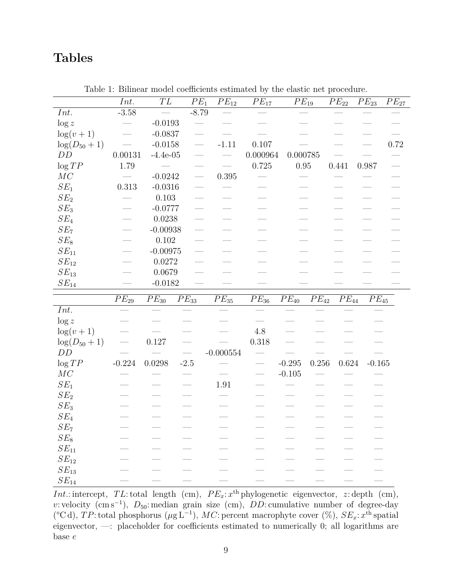## **Tables**

|                        | Int.                 | $\overline{TL}$     | $\cal{PE}_1$         | $PE_{12}$           | $\overline{PE_{17}}$            | $PE_{19}$ |                      | $\overline{PE_{22}}$ | $\overline{PE}_{23}$ | $PE_{27}$ |
|------------------------|----------------------|---------------------|----------------------|---------------------|---------------------------------|-----------|----------------------|----------------------|----------------------|-----------|
| Int.                   | $-3.58$              |                     | $-8.79$              |                     |                                 |           |                      |                      |                      |           |
| $\log z$               |                      | $-0.0193$           |                      |                     |                                 |           |                      |                      |                      |           |
| $\log(v+1)$            |                      | $-0.0837$           |                      |                     |                                 |           |                      |                      |                      |           |
| $log(D_{50} + 1)$      |                      | $-0.0158$           |                      | $-1.11$             | 0.107                           |           |                      |                      |                      | $0.72\,$  |
| DD                     | 0.00131              | $-4.4e-05$          |                      |                     | 0.000964                        | 0.000785  |                      |                      |                      |           |
| $\log TP$              | 1.79                 |                     |                      |                     | 0.725                           | 0.95      |                      | 0.441                | 0.987                |           |
| MC                     |                      | $-0.0242$           |                      | $0.395\,$           |                                 |           |                      |                      |                      |           |
| $SE_1$                 | $0.313\,$            | $\text{-}0.0316$    |                      |                     |                                 |           |                      |                      |                      |           |
| SE <sub>2</sub>        |                      | $0.103\,$           |                      |                     |                                 |           |                      |                      |                      |           |
| $SE_3$                 |                      | $-0.0777$           |                      |                     |                                 |           |                      |                      |                      |           |
| $SE_4$                 |                      | 0.0238              |                      |                     |                                 |           |                      |                      |                      |           |
| SE <sub>7</sub>        |                      | $-0.00938$          |                      |                     |                                 |           |                      |                      |                      |           |
| $SE_8$                 |                      | $0.102\,$           |                      |                     |                                 |           |                      |                      |                      |           |
| $SE_{11}$              |                      | $-0.00975$          |                      |                     |                                 |           |                      |                      |                      |           |
| $SE_{12}$              |                      | $0.0272\,$          |                      |                     |                                 |           |                      |                      |                      |           |
| $SE_{13}$              |                      | $0.0679\,$          |                      |                     |                                 |           |                      |                      |                      |           |
| $SE_{14}$              |                      | $-0.0182$           |                      |                     |                                 |           |                      |                      |                      |           |
|                        |                      |                     |                      |                     |                                 |           |                      |                      |                      |           |
|                        | $\overline{P}E_{29}$ | $\mathcal{P}E_{30}$ |                      | $\mathcal{P}E_{35}$ | $PE_{36}$                       | $PE_{40}$ |                      | $PE_{44}$            |                      |           |
| Int.                   |                      |                     | $\overline{PE}_{33}$ |                     |                                 |           | $\overline{PE}_{42}$ |                      | $\overline{P}E_{45}$ |           |
| $\log z$               |                      |                     |                      |                     |                                 |           |                      |                      |                      |           |
| $\log(v+1)$            |                      |                     |                      |                     | $4.8\,$                         |           |                      |                      |                      |           |
| $log(D_{50} + 1)$      |                      | 0.127               |                      |                     | $0.318\,$                       |           |                      |                      |                      |           |
| DD                     |                      |                     |                      | $-0.000554$         |                                 |           |                      |                      |                      |           |
| $\log{TP}$             | $-0.224$             | 0.0298              | $-2.5$               |                     | $\overline{\phantom{m}}$        | $-0.295$  | $0.256\,$            | $0.624\,$            | $-0.165$             |           |
| MC                     |                      |                     |                      |                     | $\overbrace{\qquad \qquad }^{}$ | $-0.105$  |                      |                      |                      |           |
| $SE_1$                 |                      |                     |                      | $1.91\,$            |                                 |           |                      |                      |                      |           |
| SE <sub>2</sub>        |                      |                     |                      |                     |                                 |           |                      |                      |                      |           |
| $SE_3$                 |                      |                     |                      |                     |                                 |           |                      |                      |                      |           |
| $SE_4$                 |                      |                     |                      |                     |                                 |           |                      |                      |                      |           |
| $SE_7$                 |                      |                     |                      |                     |                                 |           |                      |                      |                      |           |
| $SE_8$                 |                      |                     |                      |                     |                                 |           |                      |                      |                      |           |
| $SE_{11}$              |                      |                     |                      |                     |                                 |           |                      |                      |                      |           |
| $SE_{12}$              |                      |                     |                      |                     |                                 |           |                      |                      |                      |           |
| $SE_{13}$<br>$SE_{14}$ |                      |                     |                      |                     |                                 |           |                      |                      |                      |           |

Table 1: Bilinear model coefficients estimated by the elastic net procedure.

*Int.*: intercept, *TL*: total length (cm),  $PE_x$ :  $x^{\text{th}}$  phylogenetic eigenvector, *z*: depth (cm), *v*: velocity (cm s<sup>-1</sup>), *D*<sub>50</sub>: median grain size (cm), *DD*: cumulative number of degree-day ( $^{\circ}$ C d), *TP*: total phosphorus ( $\mu$ g L<sup>-1</sup>), *MC*: percent macrophyte cover (%), *SE<sub>x</sub>*: *x*<sup>th</sup> spatial eigenvector, —: placeholder for coefficients estimated to numerically 0; all logarithms are base *e*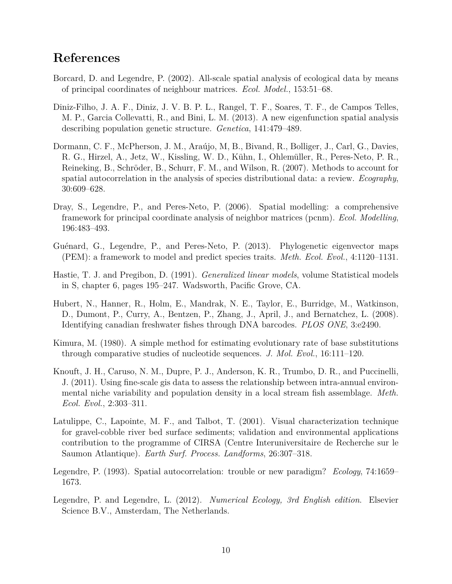### **References**

- Borcard, D. and Legendre, P. (2002). All-scale spatial analysis of ecological data by means of principal coordinates of neighbour matrices. *Ecol. Model.*, 153:51–68.
- Diniz-Filho, J. A. F., Diniz, J. V. B. P. L., Rangel, T. F., Soares, T. F., de Campos Telles, M. P., Garcia Collevatti, R., and Bini, L. M. (2013). A new eigenfunction spatial analysis describing population genetic structure. *Genetica*, 141:479–489.
- Dormann, C. F., McPherson, J. M., Araújo, M, B., Bivand, R., Bolliger, J., Carl, G., Davies, R. G., Hirzel, A., Jetz, W., Kissling, W. D., Kühn, I., Ohlemüller, R., Peres-Neto, P. R., Reineking, B., Schröder, B., Schurr, F. M., and Wilson, R. (2007). Methods to account for spatial autocorrelation in the analysis of species distributional data: a review. *Ecography*, 30:609–628.
- Dray, S., Legendre, P., and Peres-Neto, P. (2006). Spatial modelling: a comprehensive framework for principal coordinate analysis of neighbor matrices (pcnm). *Ecol. Modelling*, 196:483–493.
- Guénard, G., Legendre, P., and Peres-Neto, P. (2013). Phylogenetic eigenvector maps (PEM): a framework to model and predict species traits. *Meth. Ecol. Evol.*, 4:1120–1131.
- Hastie, T. J. and Pregibon, D. (1991). *Generalized linear models*, volume Statistical models in S, chapter 6, pages 195–247. Wadsworth, Pacific Grove, CA.
- Hubert, N., Hanner, R., Holm, E., Mandrak, N. E., Taylor, E., Burridge, M., Watkinson, D., Dumont, P., Curry, A., Bentzen, P., Zhang, J., April, J., and Bernatchez, L. (2008). Identifying canadian freshwater fishes through DNA barcodes. *PLOS ONE*, 3:e2490.
- Kimura, M. (1980). A simple method for estimating evolutionary rate of base substitutions through comparative studies of nucleotide sequences. *J. Mol. Evol.*, 16:111–120.
- Knouft, J. H., Caruso, N. M., Dupre, P. J., Anderson, K. R., Trumbo, D. R., and Puccinelli, J. (2011). Using fine-scale gis data to assess the relationship between intra-annual environmental niche variability and population density in a local stream fish assemblage. *Meth. Ecol. Evol.*, 2:303–311.
- Latulippe, C., Lapointe, M. F., and Talbot, T. (2001). Visual characterization technique for gravel-cobble river bed surface sediments; validation and environmental applications contribution to the programme of CIRSA (Centre Interuniversitaire de Recherche sur le Saumon Atlantique). *Earth Surf. Process. Landforms*, 26:307–318.
- Legendre, P. (1993). Spatial autocorrelation: trouble or new paradigm? *Ecology*, 74:1659– 1673.
- Legendre, P. and Legendre, L. (2012). *Numerical Ecology, 3rd English edition*. Elsevier Science B.V., Amsterdam, The Netherlands.